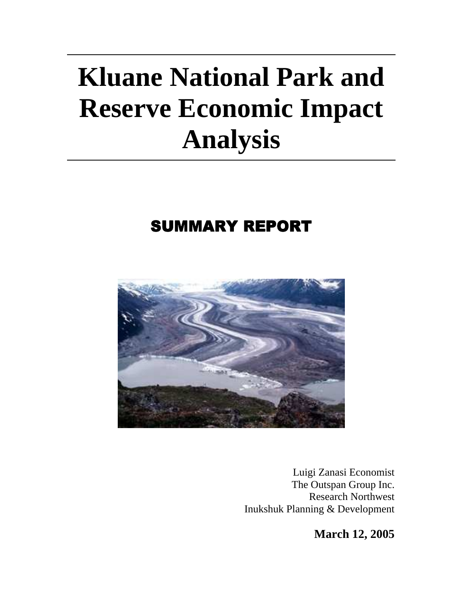# **Kluane National Park and Reserve Economic Impact Analysis**

# **SUMMARY REPORT**



Luigi Zanasi Economist The Outspan Group Inc. Research Northwest Inukshuk Planning & Development

**March 12, 2005**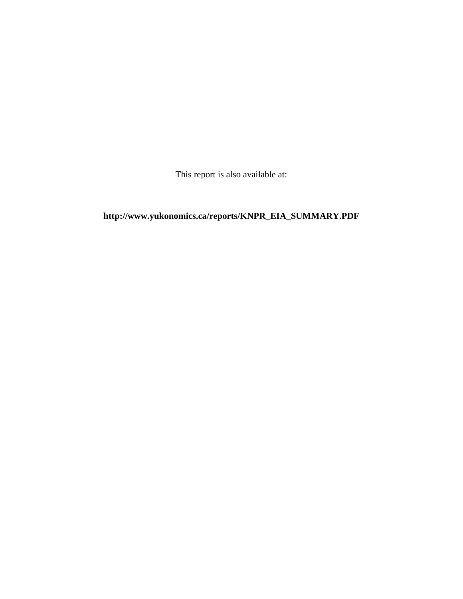This report is also available at:

# **http://www.yukonomics.ca/reports/KNPR\_EIA\_SUMMARY.PDF**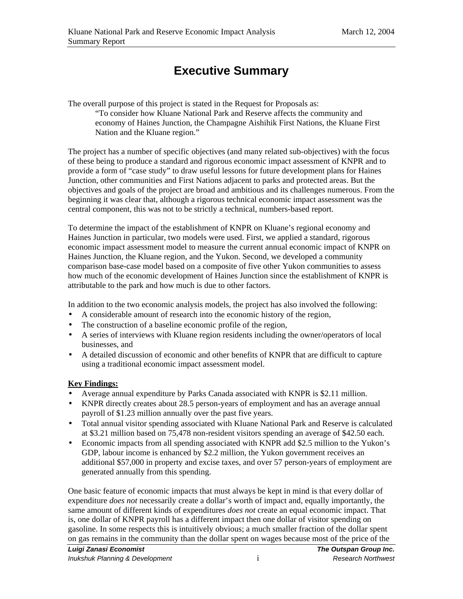# **Executive Summary**

The overall purpose of this project is stated in the Request for Proposals as:

"To consider how Kluane National Park and Reserve affects the community and economy of Haines Junction, the Champagne Aishihik First Nations, the Kluane First Nation and the Kluane region."

The project has a number of specific objectives (and many related sub-objectives) with the focus of these being to produce a standard and rigorous economic impact assessment of KNPR and to provide a form of "case study" to draw useful lessons for future development plans for Haines Junction, other communities and First Nations adjacent to parks and protected areas. But the objectives and goals of the project are broad and ambitious and its challenges numerous. From the beginning it was clear that, although a rigorous technical economic impact assessment was the central component, this was not to be strictly a technical, numbers-based report.

To determine the impact of the establishment of KNPR on Kluane's regional economy and Haines Junction in particular, two models were used. First, we applied a standard, rigorous economic impact assessment model to measure the current annual economic impact of KNPR on Haines Junction, the Kluane region, and the Yukon. Second, we developed a community comparison base-case model based on a composite of five other Yukon communities to assess how much of the economic development of Haines Junction since the establishment of KNPR is attributable to the park and how much is due to other factors.

In addition to the two economic analysis models, the project has also involved the following:

- A considerable amount of research into the economic history of the region,
- The construction of a baseline economic profile of the region,
- A series of interviews with Kluane region residents including the owner/operators of local businesses, and
- A detailed discussion of economic and other benefits of KNPR that are difficult to capture using a traditional economic impact assessment model.

#### **Key Findings:**

- Average annual expenditure by Parks Canada associated with KNPR is \$2.11 million.
- KNPR directly creates about 28.5 person-years of employment and has an average annual payroll of \$1.23 million annually over the past five years.
- Total annual visitor spending associated with Kluane National Park and Reserve is calculated at \$3.21 million based on 75,478 non-resident visitors spending an average of \$42.50 each.
- Economic impacts from all spending associated with KNPR add \$2.5 million to the Yukon's GDP, labour income is enhanced by \$2.2 million, the Yukon government receives an additional \$57,000 in property and excise taxes, and over 57 person-years of employment are generated annually from this spending.

One basic feature of economic impacts that must always be kept in mind is that every dollar of expenditure *does not* necessarily create a dollar's worth of impact and, equally importantly, the same amount of different kinds of expenditures *does not* create an equal economic impact. That is, one dollar of KNPR payroll has a different impact then one dollar of visitor spending on gasoline. In some respects this is intuitively obvious; a much smaller fraction of the dollar spent on gas remains in the community than the dollar spent on wages because most of the price of the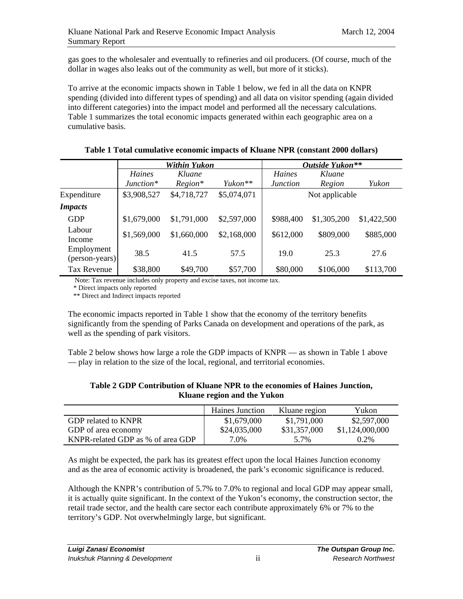gas goes to the wholesaler and eventually to refineries and oil producers. (Of course, much of the dollar in wages also leaks out of the community as well, but more of it sticks).

To arrive at the economic impacts shown in Table 1 below, we fed in all the data on KNPR spending (divided into different types of spending) and all data on visitor spending (again divided into different categories) into the impact model and performed all the necessary calculations. Table 1 summarizes the total economic impacts generated within each geographic area on a cumulative basis.

|                              | Within Yukon |             |                     | Outside Yukon** |                |             |
|------------------------------|--------------|-------------|---------------------|-----------------|----------------|-------------|
|                              | Haines       | Kluane      |                     | <b>Haines</b>   | Kluane         |             |
|                              | $Junction*$  | $Region*$   | Yukon <sup>**</sup> | <i>Junction</i> | Region         | Yukon       |
| Expenditure                  | \$3,908,527  | \$4,718,727 | \$5,074,071         |                 | Not applicable |             |
| <b>Impacts</b>               |              |             |                     |                 |                |             |
| <b>GDP</b>                   | \$1,679,000  | \$1,791,000 | \$2,597,000         | \$988,400       | \$1,305,200    | \$1,422,500 |
| Labour<br>Income             | \$1,569,000  | \$1,660,000 | \$2,168,000         | \$612,000       | \$809,000      | \$885,000   |
| Employment<br>(person-years) | 38.5         | 41.5        | 57.5                | 19.0            | 25.3           | 27.6        |
| <b>Tax Revenue</b>           | \$38,800     | \$49,700    | \$57,700            | \$80,000        | \$106,000      | \$113,700   |

#### **Table 1 Total cumulative economic impacts of Kluane NPR (constant 2000 dollars)**

Note: Tax revenue includes only property and excise taxes, not income tax.

\* Direct impacts only reported

\*\* Direct and Indirect impacts reported

The economic impacts reported in Table 1 show that the economy of the territory benefits significantly from the spending of Parks Canada on development and operations of the park, as well as the spending of park visitors.

Table 2 below shows how large a role the GDP impacts of KNPR — as shown in Table 1 above — play in relation to the size of the local, regional, and territorial economies.

#### **Table 2 GDP Contribution of Kluane NPR to the economies of Haines Junction, Kluane region and the Yukon**

|                                   | <b>Haines Junction</b> | Kluane region | Yukon           |
|-----------------------------------|------------------------|---------------|-----------------|
| GDP related to KNPR               | \$1,679,000            | \$1,791,000   | \$2,597,000     |
| GDP of area economy               | \$24,035,000           | \$31,357,000  | \$1,124,000,000 |
| KNPR-related GDP as % of area GDP | 7.0%                   | 5.7%          | $0.2\%$         |

As might be expected, the park has its greatest effect upon the local Haines Junction economy and as the area of economic activity is broadened, the park's economic significance is reduced.

Although the KNPR's contribution of 5.7% to 7.0% to regional and local GDP may appear small, it is actually quite significant. In the context of the Yukon's economy, the construction sector, the retail trade sector, and the health care sector each contribute approximately 6% or 7% to the territory's GDP. Not overwhelmingly large, but significant.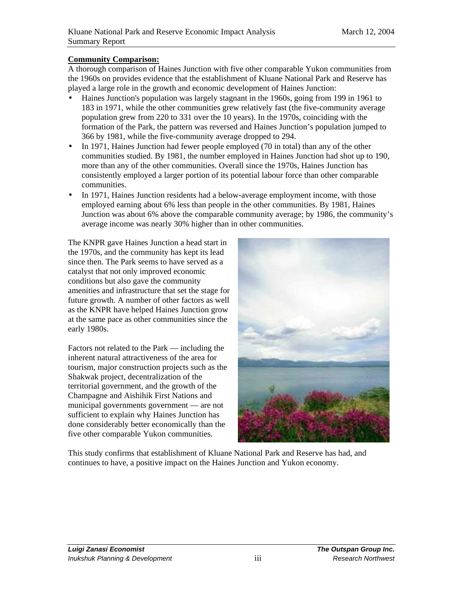#### **Community Comparison:**

A thorough comparison of Haines Junction with five other comparable Yukon communities from the 1960s on provides evidence that the establishment of Kluane National Park and Reserve has played a large role in the growth and economic development of Haines Junction:

- Haines Junction's population was largely stagnant in the 1960s, going from 199 in 1961 to 183 in 1971, while the other communities grew relatively fast (the five-community average population grew from 220 to 331 over the 10 years). In the 1970s, coinciding with the formation of the Park, the pattern was reversed and Haines Junction's population jumped to 366 by 1981, while the five-community average dropped to 294.
- In 1971, Haines Junction had fewer people employed (70 in total) than any of the other communities studied. By 1981, the number employed in Haines Junction had shot up to 190, more than any of the other communities. Overall since the 1970s, Haines Junction has consistently employed a larger portion of its potential labour force than other comparable communities.
- In 1971, Haines Junction residents had a below-average employment income, with those employed earning about 6% less than people in the other communities. By 1981, Haines Junction was about 6% above the comparable community average; by 1986, the community's average income was nearly 30% higher than in other communities.

The KNPR gave Haines Junction a head start in the 1970s, and the community has kept its lead since then. The Park seems to have served as a catalyst that not only improved economic conditions but also gave the community amenities and infrastructure that set the stage for future growth. A number of other factors as well as the KNPR have helped Haines Junction grow at the same pace as other communities since the early 1980s.

Factors not related to the Park — including the inherent natural attractiveness of the area for tourism, major construction projects such as the Shakwak project, decentralization of the territorial government, and the growth of the Champagne and Aishihik First Nations and municipal governments government — are not sufficient to explain why Haines Junction has done considerably better economically than the five other comparable Yukon communities.



This study confirms that establishment of Kluane National Park and Reserve has had, and continues to have, a positive impact on the Haines Junction and Yukon economy.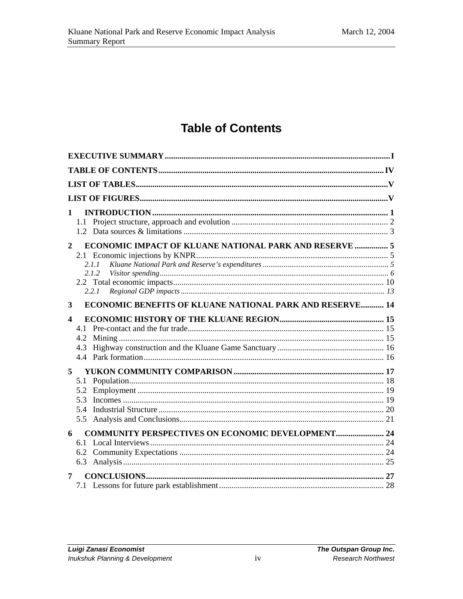# **Table of Contents**

| 1<br>$\overline{2}$ | ECONOMIC IMPACT OF KLUANE NATIONAL PARK AND RESERVE  5<br>2.1.1<br>2.1.2<br>2.2.1 |  |
|---------------------|-----------------------------------------------------------------------------------|--|
| 3                   | <b>ECONOMIC BENEFITS OF KLUANE NATIONAL PARK AND RESERVE 14</b>                   |  |
| 4                   | 4.2<br>4.3                                                                        |  |
| 5                   | 5.1<br>5.2<br>5.3<br>5.4                                                          |  |
| 6                   | <b>COMMUNITY PERSPECTIVES ON ECONOMIC DEVELOPMENT 24</b><br>6.1                   |  |
| 7                   |                                                                                   |  |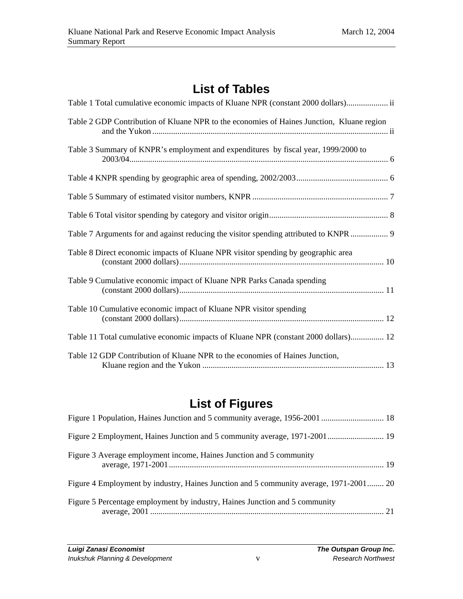# **List of Tables**

| Table 1 Total cumulative economic impacts of Kluane NPR (constant 2000 dollars) ii        |
|-------------------------------------------------------------------------------------------|
| Table 2 GDP Contribution of Kluane NPR to the economies of Haines Junction, Kluane region |
| Table 3 Summary of KNPR's employment and expenditures by fiscal year, 1999/2000 to        |
|                                                                                           |
|                                                                                           |
|                                                                                           |
| Table 7 Arguments for and against reducing the visitor spending attributed to KNPR  9     |
| Table 8 Direct economic impacts of Kluane NPR visitor spending by geographic area         |
| Table 9 Cumulative economic impact of Kluane NPR Parks Canada spending                    |
| Table 10 Cumulative economic impact of Kluane NPR visitor spending                        |
| Table 11 Total cumulative economic impacts of Kluane NPR (constant 2000 dollars) 12       |
| Table 12 GDP Contribution of Kluane NPR to the economies of Haines Junction,              |

# **List of Figures**

| Figure 2 Employment, Haines Junction and 5 community average, 1971-2001  19            |  |
|----------------------------------------------------------------------------------------|--|
| Figure 3 Average employment income, Haines Junction and 5 community                    |  |
| Figure 4 Employment by industry, Haines Junction and 5 community average, 1971-2001 20 |  |
| Figure 5 Percentage employment by industry, Haines Junction and 5 community            |  |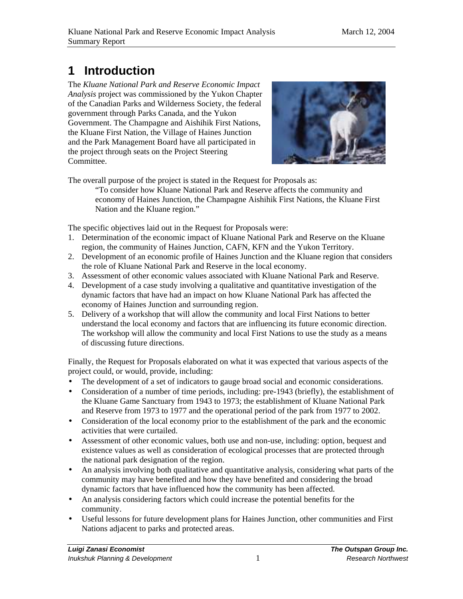# **1 Introduction**

The *Kluane National Park and Reserve Economic Impact Analysis* project was commissioned by the Yukon Chapter of the Canadian Parks and Wilderness Society, the federal government through Parks Canada, and the Yukon Government. The Champagne and Aishihik First Nations, the Kluane First Nation, the Village of Haines Junction and the Park Management Board have all participated in the project through seats on the Project Steering Committee.



The overall purpose of the project is stated in the Request for Proposals as:

"To consider how Kluane National Park and Reserve affects the community and economy of Haines Junction, the Champagne Aishihik First Nations, the Kluane First Nation and the Kluane region."

The specific objectives laid out in the Request for Proposals were:

- 1. Determination of the economic impact of Kluane National Park and Reserve on the Kluane region, the community of Haines Junction, CAFN, KFN and the Yukon Territory.
- 2. Development of an economic profile of Haines Junction and the Kluane region that considers the role of Kluane National Park and Reserve in the local economy.
- 3. Assessment of other economic values associated with Kluane National Park and Reserve.
- 4. Development of a case study involving a qualitative and quantitative investigation of the dynamic factors that have had an impact on how Kluane National Park has affected the economy of Haines Junction and surrounding region.
- 5. Delivery of a workshop that will allow the community and local First Nations to better understand the local economy and factors that are influencing its future economic direction. The workshop will allow the community and local First Nations to use the study as a means of discussing future directions.

Finally, the Request for Proposals elaborated on what it was expected that various aspects of the project could, or would, provide, including:

- The development of a set of indicators to gauge broad social and economic considerations.
- Consideration of a number of time periods, including: pre-1943 (briefly), the establishment of the Kluane Game Sanctuary from 1943 to 1973; the establishment of Kluane National Park and Reserve from 1973 to 1977 and the operational period of the park from 1977 to 2002.
- Consideration of the local economy prior to the establishment of the park and the economic activities that were curtailed.
- Assessment of other economic values, both use and non-use, including: option, bequest and existence values as well as consideration of ecological processes that are protected through the national park designation of the region.
- An analysis involving both qualitative and quantitative analysis, considering what parts of the community may have benefited and how they have benefited and considering the broad dynamic factors that have influenced how the community has been affected.
- An analysis considering factors which could increase the potential benefits for the community.
- Useful lessons for future development plans for Haines Junction, other communities and First Nations adjacent to parks and protected areas.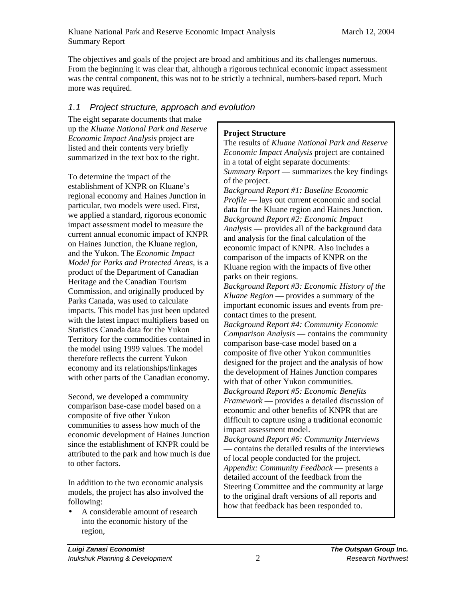The objectives and goals of the project are broad and ambitious and its challenges numerous. From the beginning it was clear that, although a rigorous technical economic impact assessment was the central component, this was not to be strictly a technical, numbers-based report. Much more was required.

### 1.1 Project structure, approach and evolution

The eight separate documents that make up the *Kluane National Park and Reserve Economic Impact Analysis* project are listed and their contents very briefly summarized in the text box to the right.

To determine the impact of the establishment of KNPR on Kluane's regional economy and Haines Junction in particular, two models were used. First, we applied a standard, rigorous economic impact assessment model to measure the current annual economic impact of KNPR on Haines Junction, the Kluane region, and the Yukon. The *Economic Impact Model for Parks and Protected Areas*, is a product of the Department of Canadian Heritage and the Canadian Tourism Commission, and originally produced by Parks Canada, was used to calculate impacts. This model has just been updated with the latest impact multipliers based on Statistics Canada data for the Yukon Territory for the commodities contained in the model using 1999 values. The model therefore reflects the current Yukon economy and its relationships/linkages with other parts of the Canadian economy.

Second, we developed a community comparison base-case model based on a composite of five other Yukon communities to assess how much of the economic development of Haines Junction since the establishment of KNPR could be attributed to the park and how much is due to other factors.

In addition to the two economic analysis models, the project has also involved the following:

• A considerable amount of research into the economic history of the region,

### **Project Structure**

The results of *Kluane National Park and Reserve Economic Impact Analysis* project are contained in a total of eight separate documents: *Summary Report* — summarizes the key findings of the project.

*Background Report #1: Baseline Economic Profile* — lays out current economic and social data for the Kluane region and Haines Junction. *Background Report #2: Economic Impact Analysis* — provides all of the background data and analysis for the final calculation of the economic impact of KNPR. Also includes a comparison of the impacts of KNPR on the Kluane region with the impacts of five other parks on their regions.

*Background Report #3: Economic History of the Kluane Region* — provides a summary of the important economic issues and events from precontact times to the present.

*Background Report #4: Community Economic Comparison Analysis* — contains the community comparison base-case model based on a composite of five other Yukon communities designed for the project and the analysis of how the development of Haines Junction compares with that of other Yukon communities.

*Background Report #5: Economic Benefits Framework* — provides a detailed discussion of economic and other benefits of KNPR that are difficult to capture using a traditional economic impact assessment model.

*Background Report #6: Community Interviews*  — contains the detailed results of the interviews of local people conducted for the project. *Appendix: Community Feedback* — presents a detailed account of the feedback from the Steering Committee and the community at large to the original draft versions of all reports and how that feedback has been responded to.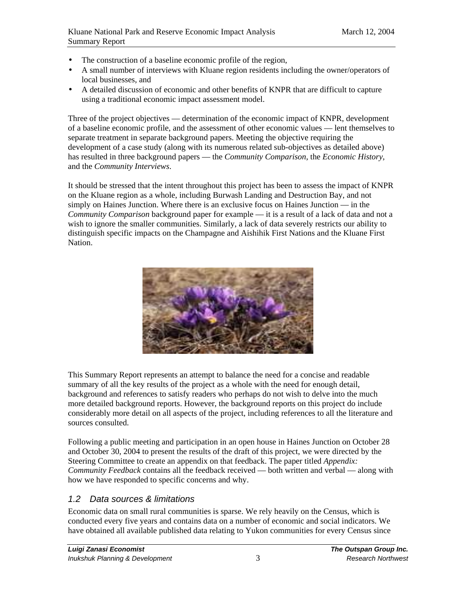- The construction of a baseline economic profile of the region,
- A small number of interviews with Kluane region residents including the owner/operators of local businesses, and
- A detailed discussion of economic and other benefits of KNPR that are difficult to capture using a traditional economic impact assessment model.

Three of the project objectives — determination of the economic impact of KNPR, development of a baseline economic profile, and the assessment of other economic values — lent themselves to separate treatment in separate background papers. Meeting the objective requiring the development of a case study (along with its numerous related sub-objectives as detailed above) has resulted in three background papers — the *Community Comparison*, the *Economic History*, and the *Community Interviews*.

It should be stressed that the intent throughout this project has been to assess the impact of KNPR on the Kluane region as a whole, including Burwash Landing and Destruction Bay, and not simply on Haines Junction. Where there is an exclusive focus on Haines Junction — in the *Community Comparison* background paper for example — it is a result of a lack of data and not a wish to ignore the smaller communities. Similarly, a lack of data severely restricts our ability to distinguish specific impacts on the Champagne and Aishihik First Nations and the Kluane First Nation.



This Summary Report represents an attempt to balance the need for a concise and readable summary of all the key results of the project as a whole with the need for enough detail, background and references to satisfy readers who perhaps do not wish to delve into the much more detailed background reports. However, the background reports on this project do include considerably more detail on all aspects of the project, including references to all the literature and sources consulted.

Following a public meeting and participation in an open house in Haines Junction on October 28 and October 30, 2004 to present the results of the draft of this project, we were directed by the Steering Committee to create an appendix on that feedback. The paper titled *Appendix: Community Feedback* contains all the feedback received — both written and verbal — along with how we have responded to specific concerns and why.

### 1.2 Data sources & limitations

Economic data on small rural communities is sparse. We rely heavily on the Census, which is conducted every five years and contains data on a number of economic and social indicators. We have obtained all available published data relating to Yukon communities for every Census since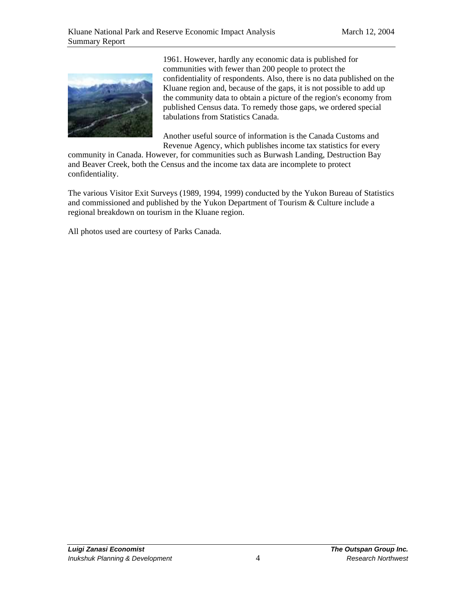

1961. However, hardly any economic data is published for communities with fewer than 200 people to protect the confidentiality of respondents. Also, there is no data published on the Kluane region and, because of the gaps, it is not possible to add up the community data to obtain a picture of the region's economy from published Census data. To remedy those gaps, we ordered special tabulations from Statistics Canada.

Another useful source of information is the Canada Customs and Revenue Agency, which publishes income tax statistics for every

community in Canada. However, for communities such as Burwash Landing, Destruction Bay and Beaver Creek, both the Census and the income tax data are incomplete to protect confidentiality.

The various Visitor Exit Surveys (1989, 1994, 1999) conducted by the Yukon Bureau of Statistics and commissioned and published by the Yukon Department of Tourism & Culture include a regional breakdown on tourism in the Kluane region.

All photos used are courtesy of Parks Canada.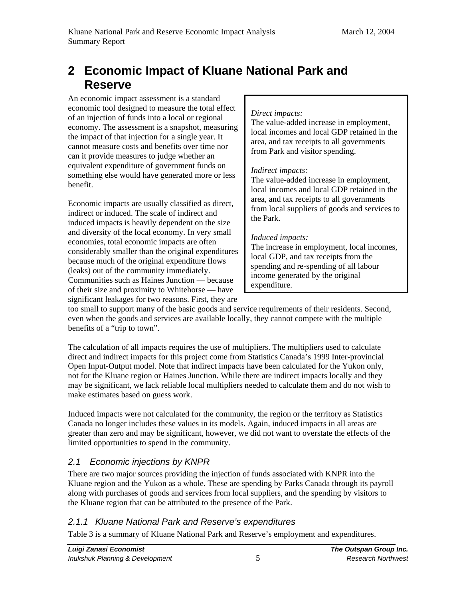# **2 Economic Impact of Kluane National Park and Reserve**

An economic impact assessment is a standard economic tool designed to measure the total effect of an injection of funds into a local or regional economy. The assessment is a snapshot, measuring the impact of that injection for a single year. It cannot measure costs and benefits over time nor can it provide measures to judge whether an equivalent expenditure of government funds on something else would have generated more or less benefit.

Economic impacts are usually classified as direct, indirect or induced. The scale of indirect and induced impacts is heavily dependent on the size and diversity of the local economy. In very small economies, total economic impacts are often considerably smaller than the original expenditures because much of the original expenditure flows (leaks) out of the community immediately. Communities such as Haines Junction — because of their size and proximity to Whitehorse — have significant leakages for two reasons. First, they are

#### *Direct impacts:*

The value-added increase in employment, local incomes and local GDP retained in the area, and tax receipts to all governments from Park and visitor spending.

### *Indirect impacts:*

The value-added increase in employment, local incomes and local GDP retained in the area, and tax receipts to all governments from local suppliers of goods and services to the Park.

# *Induced impacts:*

The increase in employment, local incomes, local GDP, and tax receipts from the spending and re-spending of all labour income generated by the original expenditure.

too small to support many of the basic goods and service requirements of their residents. Second, even when the goods and services are available locally, they cannot compete with the multiple benefits of a "trip to town".

The calculation of all impacts requires the use of multipliers. The multipliers used to calculate direct and indirect impacts for this project come from Statistics Canada's 1999 Inter-provincial Open Input-Output model. Note that indirect impacts have been calculated for the Yukon only, not for the Kluane region or Haines Junction. While there are indirect impacts locally and they may be significant, we lack reliable local multipliers needed to calculate them and do not wish to make estimates based on guess work.

Induced impacts were not calculated for the community, the region or the territory as Statistics Canada no longer includes these values in its models. Again, induced impacts in all areas are greater than zero and may be significant, however, we did not want to overstate the effects of the limited opportunities to spend in the community.

# 2.1 Economic injections by KNPR

There are two major sources providing the injection of funds associated with KNPR into the Kluane region and the Yukon as a whole. These are spending by Parks Canada through its payroll along with purchases of goods and services from local suppliers, and the spending by visitors to the Kluane region that can be attributed to the presence of the Park.

# 2.1.1 Kluane National Park and Reserve's expenditures

Table 3 is a summary of Kluane National Park and Reserve's employment and expenditures.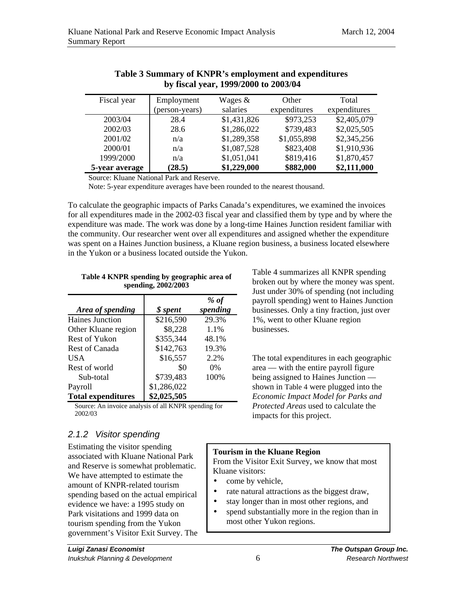| Fiscal year    | Employment     | Wages $&$   | Other        | Total        |
|----------------|----------------|-------------|--------------|--------------|
|                | (person-years) | salaries    | expenditures | expenditures |
| 2003/04        | 28.4           | \$1,431,826 | \$973,253    | \$2,405,079  |
| 2002/03        | 28.6           | \$1,286,022 | \$739,483    | \$2,025,505  |
| 2001/02        | n/a            | \$1,289,358 | \$1,055,898  | \$2,345,256  |
| 2000/01        | n/a            | \$1,087,528 | \$823,408    | \$1,910,936  |
| 1999/2000      | n/a            | \$1,051,041 | \$819,416    | \$1,870,457  |
| 5-year average | (28.5)         | \$1,229,000 | \$882,000    | \$2,111,000  |

#### **Table 3 Summary of KNPR's employment and expenditures by fiscal year, 1999/2000 to 2003/04**

Source: Kluane National Park and Reserve.

Note: 5-year expenditure averages have been rounded to the nearest thousand.

To calculate the geographic impacts of Parks Canada's expenditures, we examined the invoices for all expenditures made in the 2002-03 fiscal year and classified them by type and by where the expenditure was made. The work was done by a long-time Haines Junction resident familiar with the community. Our researcher went over all expenditures and assigned whether the expenditure was spent on a Haines Junction business, a Kluane region business, a business located elsewhere in the Yukon or a business located outside the Yukon.

| Table 4 KNPR spending by geographic area of |  |
|---------------------------------------------|--|
| spending, 2002/2003                         |  |

|                           |                        | % of     |
|---------------------------|------------------------|----------|
| Area of spending          | <i><b>\$</b></i> spent | spending |
| Haines Junction           | \$216,590              | 29.3%    |
| Other Kluane region       | \$8,228                | 1.1%     |
| Rest of Yukon             | \$355,344              | 48.1%    |
| Rest of Canada            | \$142,763              | 19.3%    |
| <b>USA</b>                | \$16,557               | 2.2%     |
| Rest of world             | \$0                    | $0\%$    |
| Sub-total                 | \$739,483              | 100%     |
| Payroll                   | \$1,286,022            |          |
| <b>Total expenditures</b> | \$2,025,505            |          |

Source: An invoice analysis of all KNPR spending for 2002/03

### 2.1.2 Visitor spending

Estimating the visitor spending associated with Kluane National Park and Reserve is somewhat problematic. We have attempted to estimate the amount of KNPR-related tourism spending based on the actual empirical evidence we have: a 1995 study on Park visitations and 1999 data on tourism spending from the Yukon government's Visitor Exit Survey. The Table 4 summarizes all KNPR spending broken out by where the money was spent. Just under 30% of spending (not including payroll spending) went to Haines Junction businesses. Only a tiny fraction, just over 1%, went to other Kluane region businesses.

The total expenditures in each geographic area — with the entire payroll figure being assigned to Haines Junction shown in Table 4 were plugged into the *Economic Impact Model for Parks and Protected Areas* used to calculate the impacts for this project.

#### **Tourism in the Kluane Region**

From the Visitor Exit Survey, we know that most Kluane visitors:

- come by vehicle,
- rate natural attractions as the biggest draw,
- stay longer than in most other regions, and
- spend substantially more in the region than in most other Yukon regions.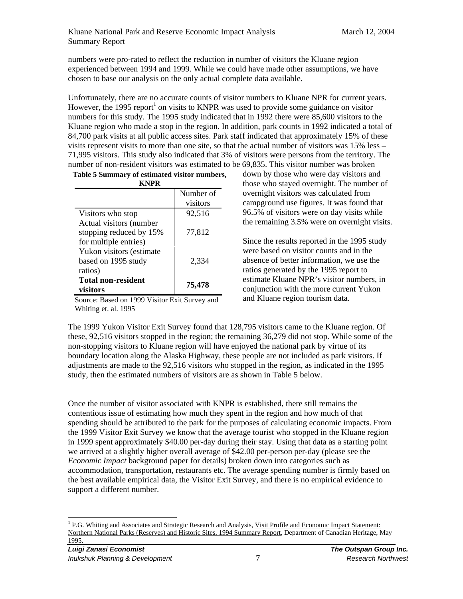numbers were pro-rated to reflect the reduction in number of visitors the Kluane region experienced between 1994 and 1999. While we could have made other assumptions, we have chosen to base our analysis on the only actual complete data available.

Unfortunately, there are no accurate counts of visitor numbers to Kluane NPR for current years. However, the 1995 report<sup>1</sup> on visits to KNPR was used to provide some guidance on visitor numbers for this study. The 1995 study indicated that in 1992 there were 85,600 visitors to the Kluane region who made a stop in the region. In addition, park counts in 1992 indicated a total of 84,700 park visits at all public access sites. Park staff indicated that approximately 15% of these visits represent visits to more than one site, so that the actual number of visitors was 15% less – 71,995 visitors. This study also indicated that 3% of visitors were persons from the territory. The number of non-resident visitors was estimated to be 69,835. This visitor number was broken

| Table 5 Summary of estimated visitor numbers,<br>KNPR                       |           |  |  |
|-----------------------------------------------------------------------------|-----------|--|--|
|                                                                             | Number of |  |  |
|                                                                             | visitors  |  |  |
| Visitors who stop                                                           | 92,516    |  |  |
| Actual visitors (number<br>stopping reduced by 15%<br>for multiple entries) | 77,812    |  |  |
| Yukon visitors (estimate)<br>based on 1995 study<br>ratios)                 | 2.334     |  |  |
| <b>Total non-resident</b><br>visitors                                       | 75,478    |  |  |

Source: Based on 1999 Visitor Exit Survey and Whiting et. al. 1995

down by those who were day visitors and those who stayed overnight. The number of overnight visitors was calculated from campground use figures. It was found that 96.5% of visitors were on day visits while the remaining 3.5% were on overnight visits.

Since the results reported in the 1995 study were based on visitor counts and in the absence of better information, we use the ratios generated by the 1995 report to estimate Kluane NPR's visitor numbers, in conjunction with the more current Yukon and Kluane region tourism data.

The 1999 Yukon Visitor Exit Survey found that 128,795 visitors came to the Kluane region. Of these, 92,516 visitors stopped in the region; the remaining 36,279 did not stop. While some of the non-stopping visitors to Kluane region will have enjoyed the national park by virtue of its boundary location along the Alaska Highway, these people are not included as park visitors. If adjustments are made to the 92,516 visitors who stopped in the region, as indicated in the 1995 study, then the estimated numbers of visitors are as shown in Table 5 below.

Once the number of visitor associated with KNPR is established, there still remains the contentious issue of estimating how much they spent in the region and how much of that spending should be attributed to the park for the purposes of calculating economic impacts. From the 1999 Visitor Exit Survey we know that the average tourist who stopped in the Kluane region in 1999 spent approximately \$40.00 per-day during their stay. Using that data as a starting point we arrived at a slightly higher overall average of \$42.00 per-person per-day (please see the *Economic Impact* background paper for details) broken down into categories such as accommodation, transportation, restaurants etc. The average spending number is firmly based on the best available empirical data, the Visitor Exit Survey, and there is no empirical evidence to support a different number.

<sup>&</sup>lt;sup>1</sup> P.G. Whiting and Associates and Strategic Research and Analysis, Visit Profile and Economic Impact Statement: Northern National Parks (Reserves) and Historic Sites, 1994 Summary Report, Department of Canadian Heritage, May 1995.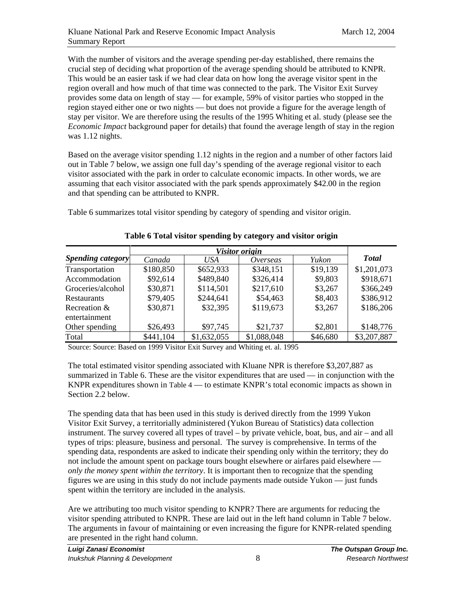With the number of visitors and the average spending per-day established, there remains the crucial step of deciding what proportion of the average spending should be attributed to KNPR. This would be an easier task if we had clear data on how long the average visitor spent in the region overall and how much of that time was connected to the park. The Visitor Exit Survey provides some data on length of stay — for example, 59% of visitor parties who stopped in the region stayed either one or two nights — but does not provide a figure for the average length of stay per visitor. We are therefore using the results of the 1995 Whiting et al. study (please see the *Economic Impact* background paper for details) that found the average length of stay in the region was 1.12 nights.

Based on the average visitor spending 1.12 nights in the region and a number of other factors laid out in Table 7 below, we assign one full day's spending of the average regional visitor to each visitor associated with the park in order to calculate economic impacts. In other words, we are assuming that each visitor associated with the park spends approximately \$42.00 in the region and that spending can be attributed to KNPR.

Table 6 summarizes total visitor spending by category of spending and visitor origin.

|                          | Visitor origin |             |             |          |              |
|--------------------------|----------------|-------------|-------------|----------|--------------|
| <b>Spending category</b> | Canada         | USA         | Overseas    | Yukon    | <b>Total</b> |
| Transportation           | \$180,850      | \$652,933   | \$348,151   | \$19,139 | \$1,201,073  |
| Accommodation            | \$92,614       | \$489,840   | \$326,414   | \$9,803  | \$918,671    |
| Groceries/alcohol        | \$30,871       | \$114,501   | \$217,610   | \$3,267  | \$366,249    |
| <b>Restaurants</b>       | \$79,405       | \$244,641   | \$54,463    | \$8,403  | \$386,912    |
| Recreation &             | \$30,871       | \$32,395    | \$119,673   | \$3,267  | \$186,206    |
| entertainment            |                |             |             |          |              |
| Other spending           | \$26,493       | \$97,745    | \$21,737    | \$2,801  | \$148,776    |
| Total                    | \$441,104      | \$1,632,055 | \$1,088,048 | \$46,680 | \$3,207,887  |

**Table 6 Total visitor spending by category and visitor origin** 

Source: Source: Based on 1999 Visitor Exit Survey and Whiting et. al. 1995

The total estimated visitor spending associated with Kluane NPR is therefore \$3,207,887 as summarized in Table 6. These are the visitor expenditures that are used — in conjunction with the KNPR expenditures shown in Table 4 — to estimate KNPR's total economic impacts as shown in Section 2.2 below.

The spending data that has been used in this study is derived directly from the 1999 Yukon Visitor Exit Survey, a territorially administered (Yukon Bureau of Statistics) data collection instrument. The survey covered all types of travel – by private vehicle, boat, bus, and air – and all types of trips: pleasure, business and personal. The survey is comprehensive. In terms of the spending data, respondents are asked to indicate their spending only within the territory; they do not include the amount spent on package tours bought elsewhere or airfares paid elsewhere *only the money spent within the territory*. It is important then to recognize that the spending figures we are using in this study do not include payments made outside Yukon — just funds spent within the territory are included in the analysis.

Are we attributing too much visitor spending to KNPR? There are arguments for reducing the visitor spending attributed to KNPR. These are laid out in the left hand column in Table 7 below. The arguments in favour of maintaining or even increasing the figure for KNPR-related spending are presented in the right hand column.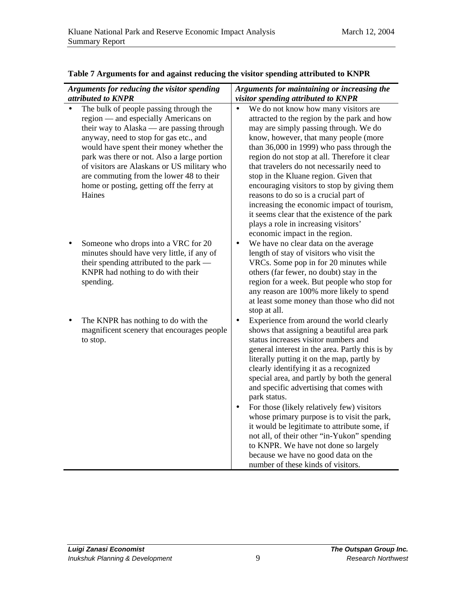| Arguments for reducing the visitor spending<br>attributed to KNPR                                                                                                                                                                                                                                                                                                                                                  | Arguments for maintaining or increasing the<br>visitor spending attributed to KNPR                                                                                                                                                                                                                                                                                                                                                                                                                                                                                                                                                                                                                     |  |  |
|--------------------------------------------------------------------------------------------------------------------------------------------------------------------------------------------------------------------------------------------------------------------------------------------------------------------------------------------------------------------------------------------------------------------|--------------------------------------------------------------------------------------------------------------------------------------------------------------------------------------------------------------------------------------------------------------------------------------------------------------------------------------------------------------------------------------------------------------------------------------------------------------------------------------------------------------------------------------------------------------------------------------------------------------------------------------------------------------------------------------------------------|--|--|
| The bulk of people passing through the<br>region — and especially Americans on<br>their way to Alaska — are passing through<br>anyway, need to stop for gas etc., and<br>would have spent their money whether the<br>park was there or not. Also a large portion<br>of visitors are Alaskans or US military who<br>are commuting from the lower 48 to their<br>home or posting, getting off the ferry at<br>Haines | We do not know how many visitors are<br>$\bullet$<br>attracted to the region by the park and how<br>may are simply passing through. We do<br>know, however, that many people (more<br>than $36,000$ in 1999) who pass through the<br>region do not stop at all. Therefore it clear<br>that travelers do not necessarily need to<br>stop in the Kluane region. Given that<br>encouraging visitors to stop by giving them<br>reasons to do so is a crucial part of<br>increasing the economic impact of tourism,<br>it seems clear that the existence of the park<br>plays a role in increasing visitors'<br>economic impact in the region.                                                              |  |  |
| Someone who drops into a VRC for 20<br>minutes should have very little, if any of<br>their spending attributed to the park -<br>KNPR had nothing to do with their<br>spending.                                                                                                                                                                                                                                     | We have no clear data on the average<br>$\bullet$<br>length of stay of visitors who visit the<br>VRCs. Some pop in for 20 minutes while<br>others (far fewer, no doubt) stay in the<br>region for a week. But people who stop for<br>any reason are 100% more likely to spend<br>at least some money than those who did not<br>stop at all.                                                                                                                                                                                                                                                                                                                                                            |  |  |
| The KNPR has nothing to do with the<br>magnificent scenery that encourages people<br>to stop.                                                                                                                                                                                                                                                                                                                      | Experience from around the world clearly<br>shows that assigning a beautiful area park<br>status increases visitor numbers and<br>general interest in the area. Partly this is by<br>literally putting it on the map, partly by<br>clearly identifying it as a recognized<br>special area, and partly by both the general<br>and specific advertising that comes with<br>park status.<br>For those (likely relatively few) visitors<br>whose primary purpose is to visit the park,<br>it would be legitimate to attribute some, if<br>not all, of their other "in-Yukon" spending<br>to KNPR. We have not done so largely<br>because we have no good data on the<br>number of these kinds of visitors. |  |  |

### **Table 7 Arguments for and against reducing the visitor spending attributed to KNPR**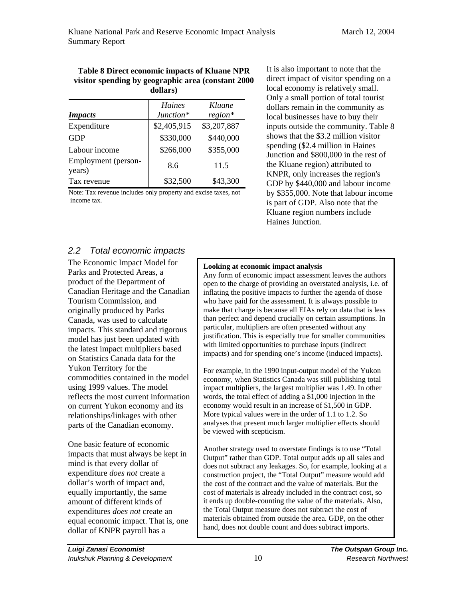#### **Table 8 Direct economic impacts of Kluane NPR visitor spending by geographic area (constant 2000 dollars)**

| <b>Impacts</b>                | <b>Haines</b><br>Junction* | Kluane<br>$region*$ |
|-------------------------------|----------------------------|---------------------|
| Expenditure                   | \$2,405,915                | \$3,207,887         |
| <b>GDP</b>                    | \$330,000                  | \$440,000           |
| Labour income                 | \$266,000                  | \$355,000           |
| Employment (person-<br>years) | 8.6                        | 11.5                |
| Tax revenue                   | \$32,500                   | \$43,300            |

Note: Tax revenue includes only property and excise taxes, not income tax.

It is also important to note that the direct impact of visitor spending on a local economy is relatively small. Only a small portion of total tourist dollars remain in the community as local businesses have to buy their inputs outside the community. Table 8 shows that the \$3.2 million visitor spending (\$2.4 million in Haines Junction and \$800,000 in the rest of the Kluane region) attributed to KNPR, only increases the region's GDP by \$440,000 and labour income by \$355,000. Note that labour income is part of GDP. Also note that the Kluane region numbers include Haines Junction.

### 2.2 Total economic impacts

The Economic Impact Model for Parks and Protected Areas, a product of the Department of Canadian Heritage and the Canadian Tourism Commission, and originally produced by Parks Canada, was used to calculate impacts. This standard and rigorous model has just been updated with the latest impact multipliers based on Statistics Canada data for the Yukon Territory for the commodities contained in the model using 1999 values. The model reflects the most current information on current Yukon economy and its relationships/linkages with other parts of the Canadian economy.

One basic feature of economic impacts that must always be kept in mind is that every dollar of expenditure *does not* create a dollar's worth of impact and, equally importantly, the same amount of different kinds of expenditures *does not* create an equal economic impact. That is, one dollar of KNPR payroll has a

#### **Looking at economic impact analysis**

Any form of economic impact assessment leaves the authors open to the charge of providing an overstated analysis, i.e. of inflating the positive impacts to further the agenda of those who have paid for the assessment. It is always possible to make that charge is because all EIAs rely on data that is less than perfect and depend crucially on certain assumptions. In particular, multipliers are often presented without any justification. This is especially true for smaller communities with limited opportunities to purchase inputs (indirect impacts) and for spending one's income (induced impacts).

For example, in the 1990 input-output model of the Yukon economy, when Statistics Canada was still publishing total impact multipliers, the largest multiplier was 1.49. In other words, the total effect of adding a \$1,000 injection in the economy would result in an increase of \$1,500 in GDP. More typical values were in the order of 1.1 to 1.2. So analyses that present much larger multiplier effects should be viewed with scepticism.

Another strategy used to overstate findings is to use "Total Output" rather than GDP. Total output adds up all sales and does not subtract any leakages. So, for example, looking at a construction project, the "Total Output" measure would add the cost of the contract and the value of materials. But the cost of materials is already included in the contract cost, so it ends up double-counting the value of the materials. Also, the Total Output measure does not subtract the cost of materials obtained from outside the area. GDP, on the other hand, does not double count and does subtract imports.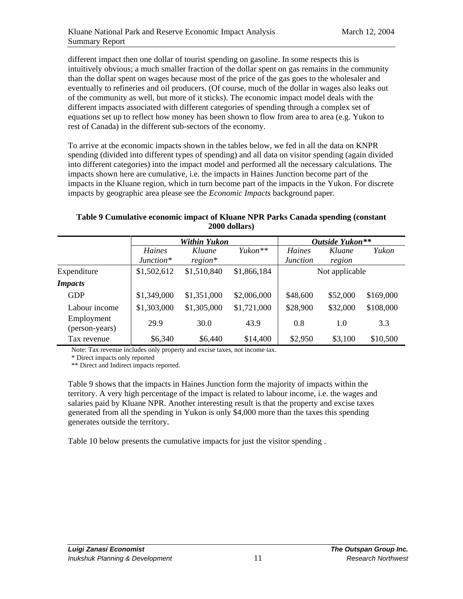different impact then one dollar of tourist spending on gasoline. In some respects this is intuitively obvious; a much smaller fraction of the dollar spent on gas remains in the community than the dollar spent on wages because most of the price of the gas goes to the wholesaler and eventually to refineries and oil producers. (Of course, much of the dollar in wages also leaks out of the community as well, but more of it sticks). The economic impact model deals with the different impacts associated with different categories of spending through a complex set of equations set up to reflect how money has been shown to flow from area to area (e.g. Yukon to rest of Canada) in the different sub-sectors of the economy.

To arrive at the economic impacts shown in the tables below, we fed in all the data on KNPR spending (divided into different types of spending) and all data on visitor spending (again divided into different categories) into the impact model and performed all the necessary calculations. The impacts shown here are cumulative, i.e. the impacts in Haines Junction become part of the impacts in the Kluane region, which in turn become part of the impacts in the Yukon. For discrete impacts by geographic area please see the *Economic Impacts* background paper.

### **Table 9 Cumulative economic impact of Kluane NPR Parks Canada spending (constant 2000 dollars)**

|                              | Within Yukon |             |                     | Outside Yukon** |          |           |
|------------------------------|--------------|-------------|---------------------|-----------------|----------|-----------|
|                              | Haines       | Kluane      | Yukon <sup>**</sup> | Haines          | Kluane   | Yukon     |
|                              | $Junction*$  | $region*$   |                     | <i>Junction</i> | region   |           |
| Expenditure                  | \$1,502,612  | \$1,510,840 | \$1,866,184         | Not applicable  |          |           |
| <b>Impacts</b>               |              |             |                     |                 |          |           |
| <b>GDP</b>                   | \$1,349,000  | \$1,351,000 | \$2,006,000         | \$48,600        | \$52,000 | \$169,000 |
| Labour income                | \$1,303,000  | \$1,305,000 | \$1,721,000         | \$28,900        | \$32,000 | \$108,000 |
| Employment<br>(person-years) | 29.9         | 30.0        | 43.9                | 0.8             | 1.0      | 3.3       |
| Tax revenue                  | \$6,340      | \$6,440     | \$14,400            | \$2,950         | \$3,100  | \$10,500  |

Note: Tax revenue includes only property and excise taxes, not income tax.

\* Direct impacts only reported

\*\* Direct and Indirect impacts reported.

Table 9 shows that the impacts in Haines Junction form the majority of impacts within the territory. A very high percentage of the impact is related to labour income, i.e. the wages and salaries paid by Kluane NPR. Another interesting result is that the property and excise taxes generated from all the spending in Yukon is only \$4,000 more than the taxes this spending generates outside the territory.

Table 10 below presents the cumulative impacts for just the visitor spending .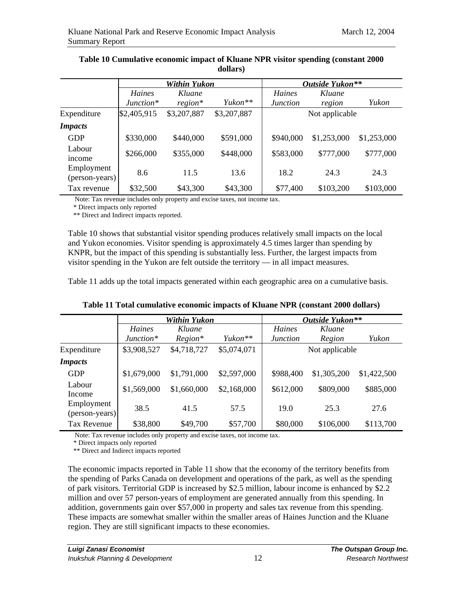|                              | Within Yukon |             |                     | Outside Yukon** |             |             |
|------------------------------|--------------|-------------|---------------------|-----------------|-------------|-------------|
|                              | Haines       | Kluane      |                     | Haines          | Kluane      |             |
|                              | $Junction*$  | $region*$   | Yukon <sup>**</sup> | <i>Junction</i> | region      | Yukon       |
| Expenditure                  | \$2,405,915  | \$3,207,887 | \$3,207,887         | Not applicable  |             |             |
| <b>Impacts</b>               |              |             |                     |                 |             |             |
| <b>GDP</b>                   | \$330,000    | \$440,000   | \$591,000           | \$940,000       | \$1,253,000 | \$1,253,000 |
| Labour<br>income             | \$266,000    | \$355,000   | \$448,000           | \$583,000       | \$777,000   | \$777,000   |
| Employment<br>(person-years) | 8.6          | 11.5        | 13.6                | 18.2            | 24.3        | 24.3        |
| Tax revenue                  | \$32,500     | \$43,300    | \$43,300            | \$77,400        | \$103,200   | \$103,000   |

#### **Table 10 Cumulative economic impact of Kluane NPR visitor spending (constant 2000 dollars)**

Note: Tax revenue includes only property and excise taxes, not income tax.

\* Direct impacts only reported

\*\* Direct and Indirect impacts reported.

Table 10 shows that substantial visitor spending produces relatively small impacts on the local and Yukon economies. Visitor spending is approximately 4.5 times larger than spending by KNPR, but the impact of this spending is substantially less. Further, the largest impacts from visitor spending in the Yukon are felt outside the territory — in all impact measures.

Table 11 adds up the total impacts generated within each geographic area on a cumulative basis.

|                              | Within Yukon          |                     |                     | Outside Yukon**                  |                  |             |
|------------------------------|-----------------------|---------------------|---------------------|----------------------------------|------------------|-------------|
|                              | Haines<br>$Junction*$ | Kluane<br>$Region*$ | Yukon <sup>**</sup> | <b>Haines</b><br><i>Junction</i> | Kluane<br>Region | Yukon       |
| Expenditure                  | \$3,908,527           | \$4,718,727         | \$5,074,071         |                                  | Not applicable   |             |
| <b>Impacts</b>               |                       |                     |                     |                                  |                  |             |
| <b>GDP</b>                   | \$1,679,000           | \$1,791,000         | \$2,597,000         | \$988,400                        | \$1,305,200      | \$1,422,500 |
| Labour<br>Income             | \$1,569,000           | \$1,660,000         | \$2,168,000         | \$612,000                        | \$809,000        | \$885,000   |
| Employment<br>(person-years) | 38.5                  | 41.5                | 57.5                | 19.0                             | 25.3             | 27.6        |
| Tax Revenue                  | \$38,800              | \$49,700            | \$57,700            | \$80,000                         | \$106,000        | \$113,700   |

**Table 11 Total cumulative economic impacts of Kluane NPR (constant 2000 dollars)** 

Note: Tax revenue includes only property and excise taxes, not income tax.

\* Direct impacts only reported

\*\* Direct and Indirect impacts reported

The economic impacts reported in Table 11 show that the economy of the territory benefits from the spending of Parks Canada on development and operations of the park, as well as the spending of park visitors. Territorial GDP is increased by \$2.5 million, labour income is enhanced by \$2.2 million and over 57 person-years of employment are generated annually from this spending. In addition, governments gain over \$57,000 in property and sales tax revenue from this spending. These impacts are somewhat smaller within the smaller areas of Haines Junction and the Kluane region. They are still significant impacts to these economies.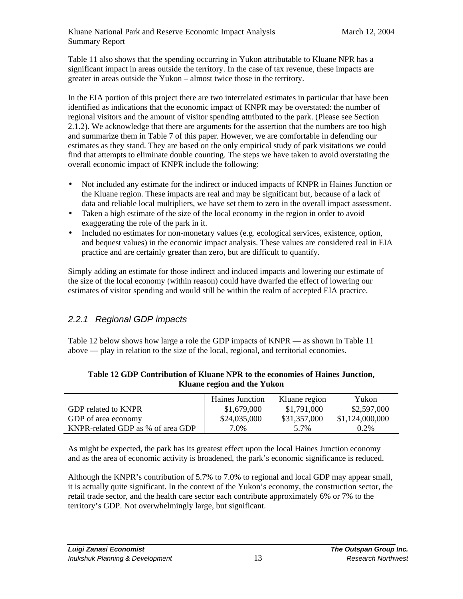Table 11 also shows that the spending occurring in Yukon attributable to Kluane NPR has a significant impact in areas outside the territory. In the case of tax revenue, these impacts are greater in areas outside the Yukon – almost twice those in the territory.

In the EIA portion of this project there are two interrelated estimates in particular that have been identified as indications that the economic impact of KNPR may be overstated: the number of regional visitors and the amount of visitor spending attributed to the park. (Please see Section 2.1.2). We acknowledge that there are arguments for the assertion that the numbers are too high and summarize them in Table 7 of this paper. However, we are comfortable in defending our estimates as they stand. They are based on the only empirical study of park visitations we could find that attempts to eliminate double counting. The steps we have taken to avoid overstating the overall economic impact of KNPR include the following:

- Not included any estimate for the indirect or induced impacts of KNPR in Haines Junction or the Kluane region. These impacts are real and may be significant but, because of a lack of data and reliable local multipliers, we have set them to zero in the overall impact assessment.
- Taken a high estimate of the size of the local economy in the region in order to avoid exaggerating the role of the park in it.
- Included no estimates for non-monetary values (e.g. ecological services, existence, option, and bequest values) in the economic impact analysis. These values are considered real in EIA practice and are certainly greater than zero, but are difficult to quantify.

Simply adding an estimate for those indirect and induced impacts and lowering our estimate of the size of the local economy (within reason) could have dwarfed the effect of lowering our estimates of visitor spending and would still be within the realm of accepted EIA practice.

# 2.2.1 Regional GDP impacts

Table 12 below shows how large a role the GDP impacts of KNPR — as shown in Table 11 above — play in relation to the size of the local, regional, and territorial economies.

|                                   | Haines Junction | Kluane region | Yukon           |
|-----------------------------------|-----------------|---------------|-----------------|
| GDP related to KNPR               | \$1,679,000     | \$1,791,000   | \$2,597,000     |
| GDP of area economy               | \$24,035,000    | \$31,357,000  | \$1,124,000,000 |
| KNPR-related GDP as % of area GDP | 7.0%            | 5.7%          | $0.2\%$         |

#### **Table 12 GDP Contribution of Kluane NPR to the economies of Haines Junction, Kluane region and the Yukon**

As might be expected, the park has its greatest effect upon the local Haines Junction economy and as the area of economic activity is broadened, the park's economic significance is reduced.

Although the KNPR's contribution of 5.7% to 7.0% to regional and local GDP may appear small, it is actually quite significant. In the context of the Yukon's economy, the construction sector, the retail trade sector, and the health care sector each contribute approximately 6% or 7% to the territory's GDP. Not overwhelmingly large, but significant.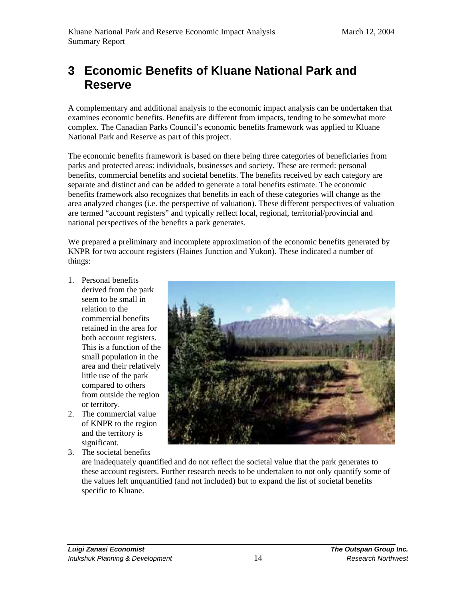# **3 Economic Benefits of Kluane National Park and Reserve**

A complementary and additional analysis to the economic impact analysis can be undertaken that examines economic benefits. Benefits are different from impacts, tending to be somewhat more complex. The Canadian Parks Council's economic benefits framework was applied to Kluane National Park and Reserve as part of this project.

The economic benefits framework is based on there being three categories of beneficiaries from parks and protected areas: individuals, businesses and society. These are termed: personal benefits, commercial benefits and societal benefits. The benefits received by each category are separate and distinct and can be added to generate a total benefits estimate. The economic benefits framework also recognizes that benefits in each of these categories will change as the area analyzed changes (i.e. the perspective of valuation). These different perspectives of valuation are termed "account registers" and typically reflect local, regional, territorial/provincial and national perspectives of the benefits a park generates.

We prepared a preliminary and incomplete approximation of the economic benefits generated by KNPR for two account registers (Haines Junction and Yukon). These indicated a number of things:

- 1. Personal benefits derived from the park seem to be small in relation to the commercial benefits retained in the area for both account registers. This is a function of the small population in the area and their relatively little use of the park compared to others from outside the region or territory.
- 2. The commercial value of KNPR to the region and the territory is significant.
- 3. The societal benefits



are inadequately quantified and do not reflect the societal value that the park generates to these account registers. Further research needs to be undertaken to not only quantify some of the values left unquantified (and not included) but to expand the list of societal benefits specific to Kluane.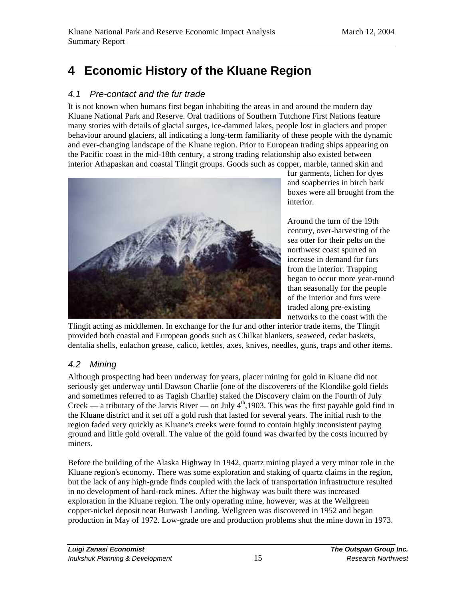# **4 Economic History of the Kluane Region**

# 4.1 Pre-contact and the fur trade

It is not known when humans first began inhabiting the areas in and around the modern day Kluane National Park and Reserve. Oral traditions of Southern Tutchone First Nations feature many stories with details of glacial surges, ice-dammed lakes, people lost in glaciers and proper behaviour around glaciers, all indicating a long-term familiarity of these people with the dynamic and ever-changing landscape of the Kluane region. Prior to European trading ships appearing on the Pacific coast in the mid-18th century, a strong trading relationship also existed between interior Athapaskan and coastal Tlingit groups. Goods such as copper, marble, tanned skin and



fur garments, lichen for dyes and soapberries in birch bark boxes were all brought from the interior.

Around the turn of the 19th century, over-harvesting of the sea otter for their pelts on the northwest coast spurred an increase in demand for furs from the interior. Trapping began to occur more year-round than seasonally for the people of the interior and furs were traded along pre-existing networks to the coast with the

Tlingit acting as middlemen. In exchange for the fur and other interior trade items, the Tlingit provided both coastal and European goods such as Chilkat blankets, seaweed, cedar baskets, dentalia shells, eulachon grease, calico, kettles, axes, knives, needles, guns, traps and other items.

# 4.2 Mining

Although prospecting had been underway for years, placer mining for gold in Kluane did not seriously get underway until Dawson Charlie (one of the discoverers of the Klondike gold fields and sometimes referred to as Tagish Charlie) staked the Discovery claim on the Fourth of July Creek — a tributary of the Jarvis River — on July  $4<sup>th</sup>$ , 1903. This was the first payable gold find in the Kluane district and it set off a gold rush that lasted for several years. The initial rush to the region faded very quickly as Kluane's creeks were found to contain highly inconsistent paying ground and little gold overall. The value of the gold found was dwarfed by the costs incurred by miners.

Before the building of the Alaska Highway in 1942, quartz mining played a very minor role in the Kluane region's economy. There was some exploration and staking of quartz claims in the region, but the lack of any high-grade finds coupled with the lack of transportation infrastructure resulted in no development of hard-rock mines. After the highway was built there was increased exploration in the Kluane region. The only operating mine, however, was at the Wellgreen copper-nickel deposit near Burwash Landing. Wellgreen was discovered in 1952 and began production in May of 1972. Low-grade ore and production problems shut the mine down in 1973.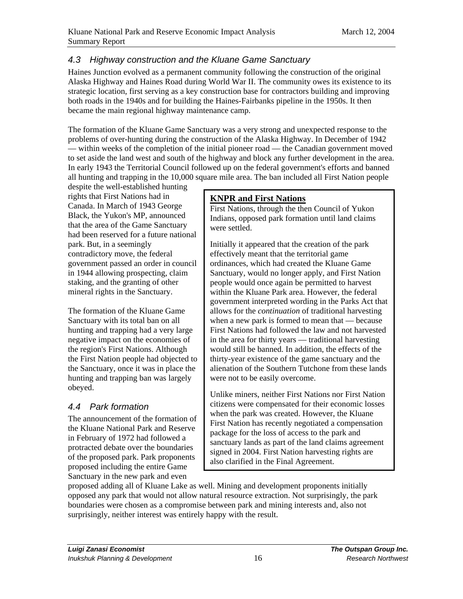# 4.3 Highway construction and the Kluane Game Sanctuary

Haines Junction evolved as a permanent community following the construction of the original Alaska Highway and Haines Road during World War II. The community owes its existence to its strategic location, first serving as a key construction base for contractors building and improving both roads in the 1940s and for building the Haines-Fairbanks pipeline in the 1950s. It then became the main regional highway maintenance camp.

The formation of the Kluane Game Sanctuary was a very strong and unexpected response to the problems of over-hunting during the construction of the Alaska Highway. In December of 1942 — within weeks of the completion of the initial pioneer road — the Canadian government moved to set aside the land west and south of the highway and block any further development in the area. In early 1943 the Territorial Council followed up on the federal government's efforts and banned all hunting and trapping in the 10,000 square mile area. The ban included all First Nation people

despite the well-established hunting rights that First Nations had in Canada. In March of 1943 George Black, the Yukon's MP, announced that the area of the Game Sanctuary had been reserved for a future national park. But, in a seemingly contradictory move, the federal government passed an order in council in 1944 allowing prospecting, claim staking, and the granting of other mineral rights in the Sanctuary.

The formation of the Kluane Game Sanctuary with its total ban on all hunting and trapping had a very large negative impact on the economies of the region's First Nations. Although the First Nation people had objected to the Sanctuary, once it was in place the hunting and trapping ban was largely obeyed.

# 4.4 Park formation

The announcement of the formation of the Kluane National Park and Reserve in February of 1972 had followed a protracted debate over the boundaries of the proposed park. Park proponents proposed including the entire Game Sanctuary in the new park and even

# **KNPR and First Nations**

First Nations, through the then Council of Yukon Indians, opposed park formation until land claims were settled.

Initially it appeared that the creation of the park effectively meant that the territorial game ordinances, which had created the Kluane Game Sanctuary, would no longer apply, and First Nation people would once again be permitted to harvest within the Kluane Park area. However, the federal government interpreted wording in the Parks Act that allows for the *continuation* of traditional harvesting when a new park is formed to mean that — because First Nations had followed the law and not harvested in the area for thirty years — traditional harvesting would still be banned. In addition, the effects of the thirty-year existence of the game sanctuary and the alienation of the Southern Tutchone from these lands were not to be easily overcome.

Unlike miners, neither First Nations nor First Nation citizens were compensated for their economic losses when the park was created. However, the Kluane First Nation has recently negotiated a compensation package for the loss of access to the park and sanctuary lands as part of the land claims agreement signed in 2004. First Nation harvesting rights are also clarified in the Final Agreement.

proposed adding all of Kluane Lake as well. Mining and development proponents initially opposed any park that would not allow natural resource extraction. Not surprisingly, the park boundaries were chosen as a compromise between park and mining interests and, also not surprisingly, neither interest was entirely happy with the result.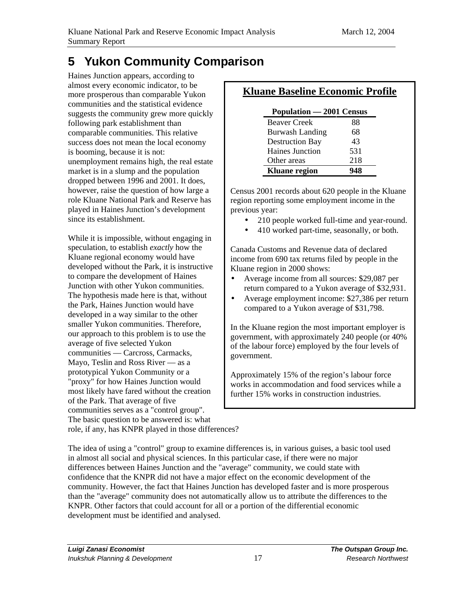# **5 Yukon Community Comparison**

Haines Junction appears, according to almost every economic indicator, to be more prosperous than comparable Yukon communities and the statistical evidence suggests the community grew more quickly following park establishment than comparable communities. This relative success does not mean the local economy is booming, because it is not: unemployment remains high, the real estate market is in a slump and the population dropped between 1996 and 2001. It does, however, raise the question of how large a role Kluane National Park and Reserve has played in Haines Junction's development since its establishment.

While it is impossible, without engaging in speculation, to establish *exactly* how the Kluane regional economy would have developed without the Park, it is instructive to compare the development of Haines Junction with other Yukon communities. The hypothesis made here is that, without the Park, Haines Junction would have developed in a way similar to the other smaller Yukon communities. Therefore, our approach to this problem is to use the average of five selected Yukon communities — Carcross, Carmacks, Mayo, Teslin and Ross River — as a prototypical Yukon Community or a "proxy" for how Haines Junction would most likely have fared without the creation of the Park. That average of five communities serves as a "control group". The basic question to be answered is: what role, if any, has KNPR played in those differences?

# **Kluane Baseline Economic Profile**

| Population - 2001 Census |     |  |  |  |
|--------------------------|-----|--|--|--|
| <b>Beaver Creek</b>      | 88  |  |  |  |
| <b>Burwash Landing</b>   | 68  |  |  |  |
| <b>Destruction Bay</b>   | 43  |  |  |  |
| <b>Haines Junction</b>   | 531 |  |  |  |
| Other areas              | 218 |  |  |  |
| <b>Kluane</b> region     |     |  |  |  |

Census 2001 records about 620 people in the Kluane region reporting some employment income in the previous year:

- 210 people worked full-time and year-round.
- 410 worked part-time, seasonally, or both.

Canada Customs and Revenue data of declared income from 690 tax returns filed by people in the Kluane region in 2000 shows:

- Average income from all sources: \$29,087 per return compared to a Yukon average of \$32,931.
- Average employment income: \$27,386 per return compared to a Yukon average of \$31,798.

In the Kluane region the most important employer is government, with approximately 240 people (or 40% of the labour force) employed by the four levels of government.

Approximately 15% of the region's labour force works in accommodation and food services while a further 15% works in construction industries.

The idea of using a "control" group to examine differences is, in various guises, a basic tool used in almost all social and physical sciences. In this particular case, if there were no major differences between Haines Junction and the "average" community, we could state with confidence that the KNPR did not have a major effect on the economic development of the community. However, the fact that Haines Junction has developed faster and is more prosperous than the "average" community does not automatically allow us to attribute the differences to the KNPR. Other factors that could account for all or a portion of the differential economic development must be identified and analysed.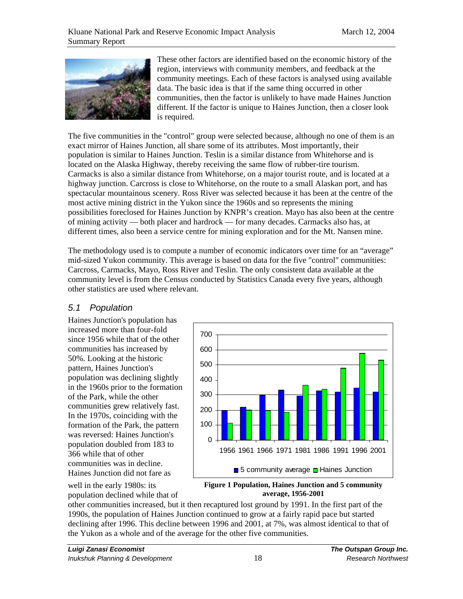

These other factors are identified based on the economic history of the region, interviews with community members, and feedback at the community meetings. Each of these factors is analysed using available data. The basic idea is that if the same thing occurred in other communities, then the factor is unlikely to have made Haines Junction different. If the factor is unique to Haines Junction, then a closer look is required.

The five communities in the "control" group were selected because, although no one of them is an exact mirror of Haines Junction, all share some of its attributes. Most importantly, their population is similar to Haines Junction. Teslin is a similar distance from Whitehorse and is located on the Alaska Highway, thereby receiving the same flow of rubber-tire tourism. Carmacks is also a similar distance from Whitehorse, on a major tourist route, and is located at a highway junction. Carcross is close to Whitehorse, on the route to a small Alaskan port, and has spectacular mountainous scenery. Ross River was selected because it has been at the centre of the most active mining district in the Yukon since the 1960s and so represents the mining possibilities foreclosed for Haines Junction by KNPR's creation. Mayo has also been at the centre of mining activity — both placer and hardrock — for many decades. Carmacks also has, at different times, also been a service centre for mining exploration and for the Mt. Nansen mine.

The methodology used is to compute a number of economic indicators over time for an "average" mid-sized Yukon community. This average is based on data for the five "control" communities: Carcross, Carmacks, Mayo, Ross River and Teslin. The only consistent data available at the community level is from the Census conducted by Statistics Canada every five years, although other statistics are used where relevant.

### 5.1 Population

Haines Junction's population has increased more than four-fold since 1956 while that of the other communities has increased by 50%. Looking at the historic pattern, Haines Junction's population was declining slightly in the 1960s prior to the formation of the Park, while the other communities grew relatively fast. In the 1970s, coinciding with the formation of the Park, the pattern was reversed: Haines Junction's population doubled from 183 to 366 while that of other communities was in decline. Haines Junction did not fare as



**Figure 1 Population, Haines Junction and 5 community average, 1956-2001**

other communities increased, but it then recaptured lost ground by 1991. In the first part of the 1990s, the population of Haines Junction continued to grow at a fairly rapid pace but started declining after 1996. This decline between 1996 and 2001, at 7%, was almost identical to that of the Yukon as a whole and of the average for the other five communities.

well in the early 1980s: its population declined while that of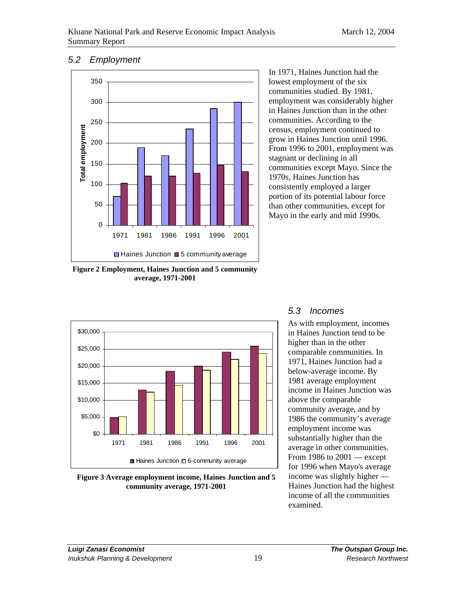#### 5.2 Employment



**Figure 2 Employment, Haines Junction and 5 community average, 1971-2001**

In 1971, Haines Junction had the lowest employment of the six communities studied. By 1981, employment was considerably higher in Haines Junction than in the other communities. According to the census, employment continued to grow in Haines Junction until 1996. From 1996 to 2001, employment was stagnant or declining in all communities except Mayo. Since the 1970s, Haines Junction has consistently employed a larger portion of its potential labour force than other communities, except for Mayo in the early and mid 1990s.



**Figure 3 Average employment income, Haines Junction and 5 community average, 1971-2001**

# 5.3 Incomes

As with employment, incomes in Haines Junction tend to be higher than in the other comparable communities. In 1971, Haines Junction had a below-average income. By 1981 average employment income in Haines Junction was above the comparable community average, and by 1986 the community's average employment income was substantially higher than the average in other communities. From 1986 to 2001 — except for 1996 when Mayo's average income was slightly higher — Haines Junction had the highest income of all the communities examined.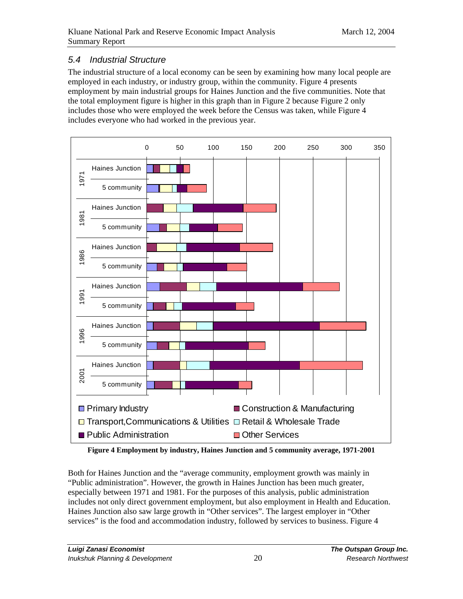# 5.4 Industrial Structure

The industrial structure of a local economy can be seen by examining how many local people are employed in each industry, or industry group, within the community. Figure 4 presents employment by main industrial groups for Haines Junction and the five communities. Note that the total employment figure is higher in this graph than in Figure 2 because Figure 2 only includes those who were employed the week before the Census was taken, while Figure 4 includes everyone who had worked in the previous year.



**Figure 4 Employment by industry, Haines Junction and 5 community average, 1971-2001** 

Both for Haines Junction and the "average community, employment growth was mainly in "Public administration". However, the growth in Haines Junction has been much greater, especially between 1971 and 1981. For the purposes of this analysis, public administration includes not only direct government employment, but also employment in Health and Education. Haines Junction also saw large growth in "Other services". The largest employer in "Other services" is the food and accommodation industry, followed by services to business. Figure 4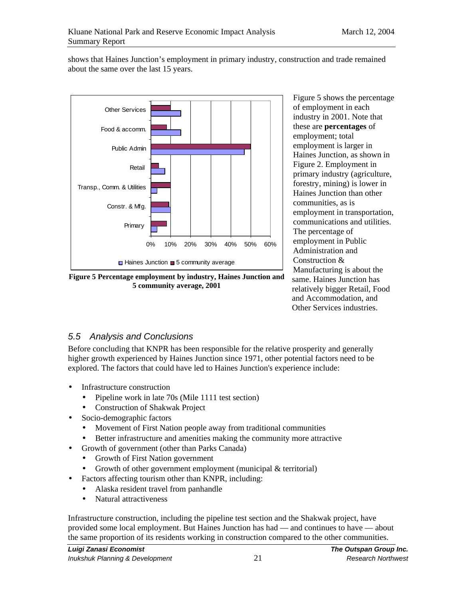shows that Haines Junction's employment in primary industry, construction and trade remained about the same over the last 15 years.



**Figure 5 Percentage employment by industry, Haines Junction and 5 community average, 2001**

Figure 5 shows the percentage of employment in each industry in 2001. Note that these are **percentages** of employment; total employment is larger in Haines Junction, as shown in Figure 2. Employment in primary industry (agriculture, forestry, mining) is lower in Haines Junction than other communities, as is employment in transportation, communications and utilities. The percentage of employment in Public Administration and Construction & Manufacturing is about the same. Haines Junction has relatively bigger Retail, Food and Accommodation, and Other Services industries.

# 5.5 Analysis and Conclusions

Before concluding that KNPR has been responsible for the relative prosperity and generally higher growth experienced by Haines Junction since 1971, other potential factors need to be explored. The factors that could have led to Haines Junction's experience include:

- Infrastructure construction
	- Pipeline work in late 70s (Mile 1111 test section)
	- Construction of Shakwak Project
- Socio-demographic factors
	- Movement of First Nation people away from traditional communities
	- Better infrastructure and amenities making the community more attractive
- Growth of government (other than Parks Canada)
	- Growth of First Nation government
	- Growth of other government employment (municipal & territorial)
- Factors affecting tourism other than KNPR, including:
	- Alaska resident travel from panhandle
	- Natural attractiveness

Infrastructure construction, including the pipeline test section and the Shakwak project, have provided some local employment. But Haines Junction has had — and continues to have — about the same proportion of its residents working in construction compared to the other communities.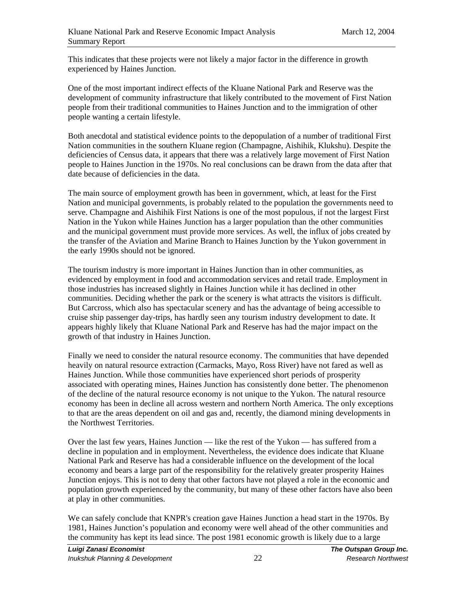This indicates that these projects were not likely a major factor in the difference in growth experienced by Haines Junction.

One of the most important indirect effects of the Kluane National Park and Reserve was the development of community infrastructure that likely contributed to the movement of First Nation people from their traditional communities to Haines Junction and to the immigration of other people wanting a certain lifestyle.

Both anecdotal and statistical evidence points to the depopulation of a number of traditional First Nation communities in the southern Kluane region (Champagne, Aishihik, Klukshu). Despite the deficiencies of Census data, it appears that there was a relatively large movement of First Nation people to Haines Junction in the 1970s. No real conclusions can be drawn from the data after that date because of deficiencies in the data.

The main source of employment growth has been in government, which, at least for the First Nation and municipal governments, is probably related to the population the governments need to serve. Champagne and Aishihik First Nations is one of the most populous, if not the largest First Nation in the Yukon while Haines Junction has a larger population than the other communities and the municipal government must provide more services. As well, the influx of jobs created by the transfer of the Aviation and Marine Branch to Haines Junction by the Yukon government in the early 1990s should not be ignored.

The tourism industry is more important in Haines Junction than in other communities, as evidenced by employment in food and accommodation services and retail trade. Employment in those industries has increased slightly in Haines Junction while it has declined in other communities. Deciding whether the park or the scenery is what attracts the visitors is difficult. But Carcross, which also has spectacular scenery and has the advantage of being accessible to cruise ship passenger day-trips, has hardly seen any tourism industry development to date. It appears highly likely that Kluane National Park and Reserve has had the major impact on the growth of that industry in Haines Junction.

Finally we need to consider the natural resource economy. The communities that have depended heavily on natural resource extraction (Carmacks, Mayo, Ross River) have not fared as well as Haines Junction. While those communities have experienced short periods of prosperity associated with operating mines, Haines Junction has consistently done better. The phenomenon of the decline of the natural resource economy is not unique to the Yukon. The natural resource economy has been in decline all across western and northern North America. The only exceptions to that are the areas dependent on oil and gas and, recently, the diamond mining developments in the Northwest Territories.

Over the last few years, Haines Junction — like the rest of the Yukon — has suffered from a decline in population and in employment. Nevertheless, the evidence does indicate that Kluane National Park and Reserve has had a considerable influence on the development of the local economy and bears a large part of the responsibility for the relatively greater prosperity Haines Junction enjoys. This is not to deny that other factors have not played a role in the economic and population growth experienced by the community, but many of these other factors have also been at play in other communities.

We can safely conclude that KNPR's creation gave Haines Junction a head start in the 1970s. By 1981, Haines Junction's population and economy were well ahead of the other communities and the community has kept its lead since. The post 1981 economic growth is likely due to a large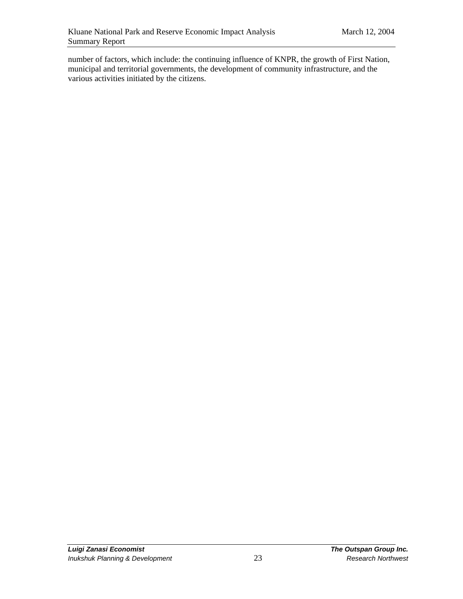number of factors, which include: the continuing influence of KNPR, the growth of First Nation, municipal and territorial governments, the development of community infrastructure, and the various activities initiated by the citizens.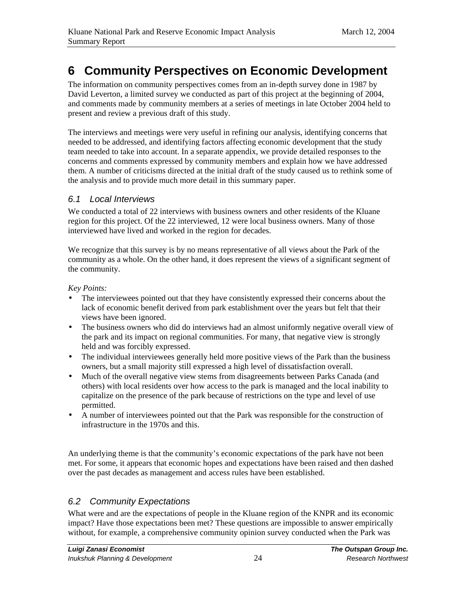# **6 Community Perspectives on Economic Development**

The information on community perspectives comes from an in-depth survey done in 1987 by David Leverton, a limited survey we conducted as part of this project at the beginning of 2004, and comments made by community members at a series of meetings in late October 2004 held to present and review a previous draft of this study.

The interviews and meetings were very useful in refining our analysis, identifying concerns that needed to be addressed, and identifying factors affecting economic development that the study team needed to take into account. In a separate appendix, we provide detailed responses to the concerns and comments expressed by community members and explain how we have addressed them. A number of criticisms directed at the initial draft of the study caused us to rethink some of the analysis and to provide much more detail in this summary paper.

### 6.1 Local Interviews

We conducted a total of 22 interviews with business owners and other residents of the Kluane region for this project. Of the 22 interviewed, 12 were local business owners. Many of those interviewed have lived and worked in the region for decades.

We recognize that this survey is by no means representative of all views about the Park of the community as a whole. On the other hand, it does represent the views of a significant segment of the community.

#### *Key Points:*

- The interviewees pointed out that they have consistently expressed their concerns about the lack of economic benefit derived from park establishment over the years but felt that their views have been ignored.
- The business owners who did do interviews had an almost uniformly negative overall view of the park and its impact on regional communities. For many, that negative view is strongly held and was forcibly expressed.
- The individual interviewees generally held more positive views of the Park than the business owners, but a small majority still expressed a high level of dissatisfaction overall.
- Much of the overall negative view stems from disagreements between Parks Canada (and others) with local residents over how access to the park is managed and the local inability to capitalize on the presence of the park because of restrictions on the type and level of use permitted.
- A number of interviewees pointed out that the Park was responsible for the construction of infrastructure in the 1970s and this.

An underlying theme is that the community's economic expectations of the park have not been met. For some, it appears that economic hopes and expectations have been raised and then dashed over the past decades as management and access rules have been established.

# 6.2 Community Expectations

What were and are the expectations of people in the Kluane region of the KNPR and its economic impact? Have those expectations been met? These questions are impossible to answer empirically without, for example, a comprehensive community opinion survey conducted when the Park was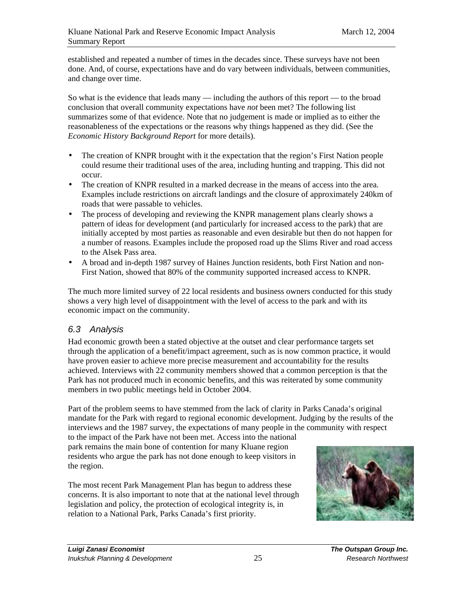established and repeated a number of times in the decades since. These surveys have not been done. And, of course, expectations have and do vary between individuals, between communities, and change over time.

So what is the evidence that leads many — including the authors of this report — to the broad conclusion that overall community expectations have *not* been met? The following list summarizes some of that evidence. Note that no judgement is made or implied as to either the reasonableness of the expectations or the reasons why things happened as they did. (See the *Economic History Background Report* for more details).

- The creation of KNPR brought with it the expectation that the region's First Nation people could resume their traditional uses of the area, including hunting and trapping. This did not occur.
- The creation of KNPR resulted in a marked decrease in the means of access into the area. Examples include restrictions on aircraft landings and the closure of approximately 240km of roads that were passable to vehicles.
- The process of developing and reviewing the KNPR management plans clearly shows a pattern of ideas for development (and particularly for increased access to the park) that are initially accepted by most parties as reasonable and even desirable but then do not happen for a number of reasons. Examples include the proposed road up the Slims River and road access to the Alsek Pass area.
- A broad and in-depth 1987 survey of Haines Junction residents, both First Nation and non-First Nation, showed that 80% of the community supported increased access to KNPR.

The much more limited survey of 22 local residents and business owners conducted for this study shows a very high level of disappointment with the level of access to the park and with its economic impact on the community.

# 6.3 Analysis

Had economic growth been a stated objective at the outset and clear performance targets set through the application of a benefit/impact agreement, such as is now common practice, it would have proven easier to achieve more precise measurement and accountability for the results achieved. Interviews with 22 community members showed that a common perception is that the Park has not produced much in economic benefits, and this was reiterated by some community members in two public meetings held in October 2004.

Part of the problem seems to have stemmed from the lack of clarity in Parks Canada's original mandate for the Park with regard to regional economic development. Judging by the results of the interviews and the 1987 survey, the expectations of many people in the community with respect

to the impact of the Park have not been met. Access into the national park remains the main bone of contention for many Kluane region residents who argue the park has not done enough to keep visitors in the region.

The most recent Park Management Plan has begun to address these concerns. It is also important to note that at the national level through legislation and policy, the protection of ecological integrity is, in relation to a National Park, Parks Canada's first priority.

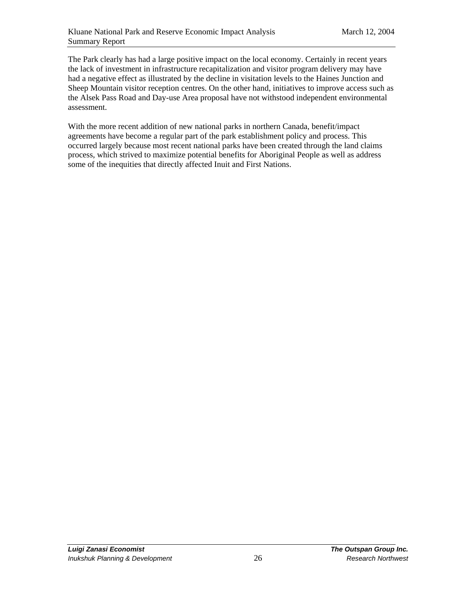The Park clearly has had a large positive impact on the local economy. Certainly in recent years the lack of investment in infrastructure recapitalization and visitor program delivery may have had a negative effect as illustrated by the decline in visitation levels to the Haines Junction and Sheep Mountain visitor reception centres. On the other hand, initiatives to improve access such as the Alsek Pass Road and Day-use Area proposal have not withstood independent environmental assessment.

With the more recent addition of new national parks in northern Canada, benefit/impact agreements have become a regular part of the park establishment policy and process. This occurred largely because most recent national parks have been created through the land claims process, which strived to maximize potential benefits for Aboriginal People as well as address some of the inequities that directly affected Inuit and First Nations.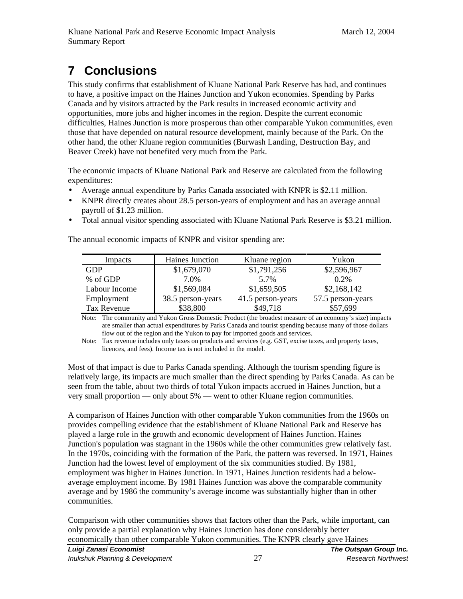# **7 Conclusions**

This study confirms that establishment of Kluane National Park Reserve has had, and continues to have, a positive impact on the Haines Junction and Yukon economies. Spending by Parks Canada and by visitors attracted by the Park results in increased economic activity and opportunities, more jobs and higher incomes in the region. Despite the current economic difficulties, Haines Junction is more prosperous than other comparable Yukon communities, even those that have depended on natural resource development, mainly because of the Park. On the other hand, the other Kluane region communities (Burwash Landing, Destruction Bay, and Beaver Creek) have not benefited very much from the Park.

The economic impacts of Kluane National Park and Reserve are calculated from the following expenditures:

- Average annual expenditure by Parks Canada associated with KNPR is \$2.11 million.
- KNPR directly creates about 28.5 person-years of employment and has an average annual payroll of \$1.23 million.
- Total annual visitor spending associated with Kluane National Park Reserve is \$3.21 million.

The annual economic impacts of KNPR and visitor spending are:

| Impacts       | Haines Junction   | Kluane region     | Yukon             |
|---------------|-------------------|-------------------|-------------------|
| GDP           | \$1,679,070       | \$1,791,256       | \$2,596,967       |
| % of GDP      | 7.0%              | 5.7%              | $0.2\%$           |
| Labour Income | \$1,569,084       | \$1,659,505       | \$2,168,142       |
| Employment    | 38.5 person-years | 41.5 person-years | 57.5 person-years |
| Tax Revenue   | \$38,800          | \$49,718          | \$57,699          |

Note: The community and Yukon Gross Domestic Product (the broadest measure of an economy's size) impacts are smaller than actual expenditures by Parks Canada and tourist spending because many of those dollars flow out of the region and the Yukon to pay for imported goods and services.

Note: Tax revenue includes only taxes on products and services (e.g. GST, excise taxes, and property taxes, licences, and fees). Income tax is not included in the model.

Most of that impact is due to Parks Canada spending. Although the tourism spending figure is relatively large, its impacts are much smaller than the direct spending by Parks Canada. As can be seen from the table, about two thirds of total Yukon impacts accrued in Haines Junction, but a very small proportion — only about 5% — went to other Kluane region communities.

A comparison of Haines Junction with other comparable Yukon communities from the 1960s on provides compelling evidence that the establishment of Kluane National Park and Reserve has played a large role in the growth and economic development of Haines Junction. Haines Junction's population was stagnant in the 1960s while the other communities grew relatively fast. In the 1970s, coinciding with the formation of the Park, the pattern was reversed. In 1971, Haines Junction had the lowest level of employment of the six communities studied. By 1981, employment was higher in Haines Junction. In 1971, Haines Junction residents had a belowaverage employment income. By 1981 Haines Junction was above the comparable community average and by 1986 the community's average income was substantially higher than in other communities.

Comparison with other communities shows that factors other than the Park, while important, can only provide a partial explanation why Haines Junction has done considerably better economically than other comparable Yukon communities. The KNPR clearly gave Haines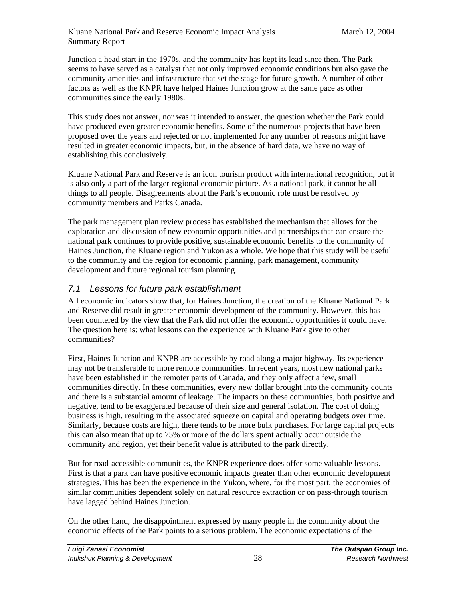Junction a head start in the 1970s, and the community has kept its lead since then. The Park seems to have served as a catalyst that not only improved economic conditions but also gave the community amenities and infrastructure that set the stage for future growth. A number of other factors as well as the KNPR have helped Haines Junction grow at the same pace as other communities since the early 1980s.

This study does not answer, nor was it intended to answer, the question whether the Park could have produced even greater economic benefits. Some of the numerous projects that have been proposed over the years and rejected or not implemented for any number of reasons might have resulted in greater economic impacts, but, in the absence of hard data, we have no way of establishing this conclusively.

Kluane National Park and Reserve is an icon tourism product with international recognition, but it is also only a part of the larger regional economic picture. As a national park, it cannot be all things to all people. Disagreements about the Park's economic role must be resolved by community members and Parks Canada.

The park management plan review process has established the mechanism that allows for the exploration and discussion of new economic opportunities and partnerships that can ensure the national park continues to provide positive, sustainable economic benefits to the community of Haines Junction, the Kluane region and Yukon as a whole. We hope that this study will be useful to the community and the region for economic planning, park management, community development and future regional tourism planning.

### 7.1 Lessons for future park establishment

All economic indicators show that, for Haines Junction, the creation of the Kluane National Park and Reserve did result in greater economic development of the community. However, this has been countered by the view that the Park did not offer the economic opportunities it could have. The question here is: what lessons can the experience with Kluane Park give to other communities?

First, Haines Junction and KNPR are accessible by road along a major highway. Its experience may not be transferable to more remote communities. In recent years, most new national parks have been established in the remoter parts of Canada, and they only affect a few, small communities directly. In these communities, every new dollar brought into the community counts and there is a substantial amount of leakage. The impacts on these communities, both positive and negative, tend to be exaggerated because of their size and general isolation. The cost of doing business is high, resulting in the associated squeeze on capital and operating budgets over time. Similarly, because costs are high, there tends to be more bulk purchases. For large capital projects this can also mean that up to 75% or more of the dollars spent actually occur outside the community and region, yet their benefit value is attributed to the park directly.

But for road-accessible communities, the KNPR experience does offer some valuable lessons. First is that a park can have positive economic impacts greater than other economic development strategies. This has been the experience in the Yukon, where, for the most part, the economies of similar communities dependent solely on natural resource extraction or on pass-through tourism have lagged behind Haines Junction.

On the other hand, the disappointment expressed by many people in the community about the economic effects of the Park points to a serious problem. The economic expectations of the